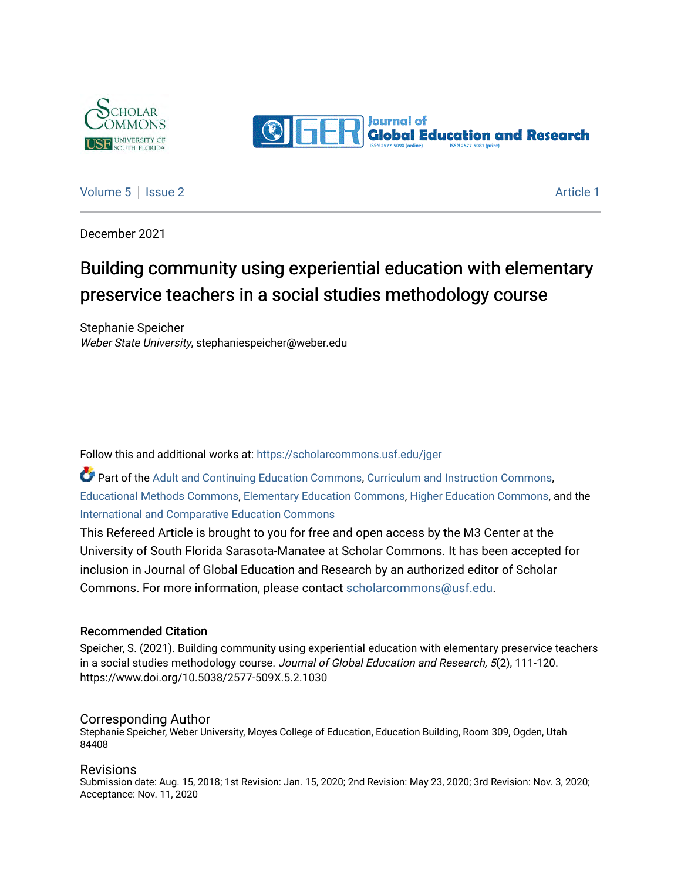



### [Volume 5](https://scholarcommons.usf.edu/jger/vol5) | [Issue 2](https://scholarcommons.usf.edu/jger/vol5/iss2) Article 1

December 2021

# Building community using experiential education with elementary preservice teachers in a social studies methodology course

Stephanie Speicher Weber State University, stephaniespeicher@weber.edu

Follow this and additional works at: [https://scholarcommons.usf.edu/jger](https://scholarcommons.usf.edu/jger?utm_source=scholarcommons.usf.edu%2Fjger%2Fvol5%2Fiss2%2F1&utm_medium=PDF&utm_campaign=PDFCoverPages) 

Part of the [Adult and Continuing Education Commons,](http://network.bepress.com/hgg/discipline/1375?utm_source=scholarcommons.usf.edu%2Fjger%2Fvol5%2Fiss2%2F1&utm_medium=PDF&utm_campaign=PDFCoverPages) [Curriculum and Instruction Commons,](http://network.bepress.com/hgg/discipline/786?utm_source=scholarcommons.usf.edu%2Fjger%2Fvol5%2Fiss2%2F1&utm_medium=PDF&utm_campaign=PDFCoverPages) [Educational Methods Commons,](http://network.bepress.com/hgg/discipline/1227?utm_source=scholarcommons.usf.edu%2Fjger%2Fvol5%2Fiss2%2F1&utm_medium=PDF&utm_campaign=PDFCoverPages) [Elementary Education Commons](http://network.bepress.com/hgg/discipline/1378?utm_source=scholarcommons.usf.edu%2Fjger%2Fvol5%2Fiss2%2F1&utm_medium=PDF&utm_campaign=PDFCoverPages), [Higher Education Commons](http://network.bepress.com/hgg/discipline/1245?utm_source=scholarcommons.usf.edu%2Fjger%2Fvol5%2Fiss2%2F1&utm_medium=PDF&utm_campaign=PDFCoverPages), and the [International and Comparative Education Commons](http://network.bepress.com/hgg/discipline/797?utm_source=scholarcommons.usf.edu%2Fjger%2Fvol5%2Fiss2%2F1&utm_medium=PDF&utm_campaign=PDFCoverPages)

This Refereed Article is brought to you for free and open access by the M3 Center at the University of South Florida Sarasota-Manatee at Scholar Commons. It has been accepted for inclusion in Journal of Global Education and Research by an authorized editor of Scholar Commons. For more information, please contact [scholarcommons@usf.edu](mailto:scholarcommons@usf.edu).

#### Recommended Citation

Speicher, S. (2021). Building community using experiential education with elementary preservice teachers in a social studies methodology course. Journal of Global Education and Research, 5(2), 111-120. https://www.doi.org/10.5038/2577-509X.5.2.1030

#### Corresponding Author

Stephanie Speicher, Weber University, Moyes College of Education, Education Building, Room 309, Ogden, Utah 84408

#### Revisions

Submission date: Aug. 15, 2018; 1st Revision: Jan. 15, 2020; 2nd Revision: May 23, 2020; 3rd Revision: Nov. 3, 2020; Acceptance: Nov. 11, 2020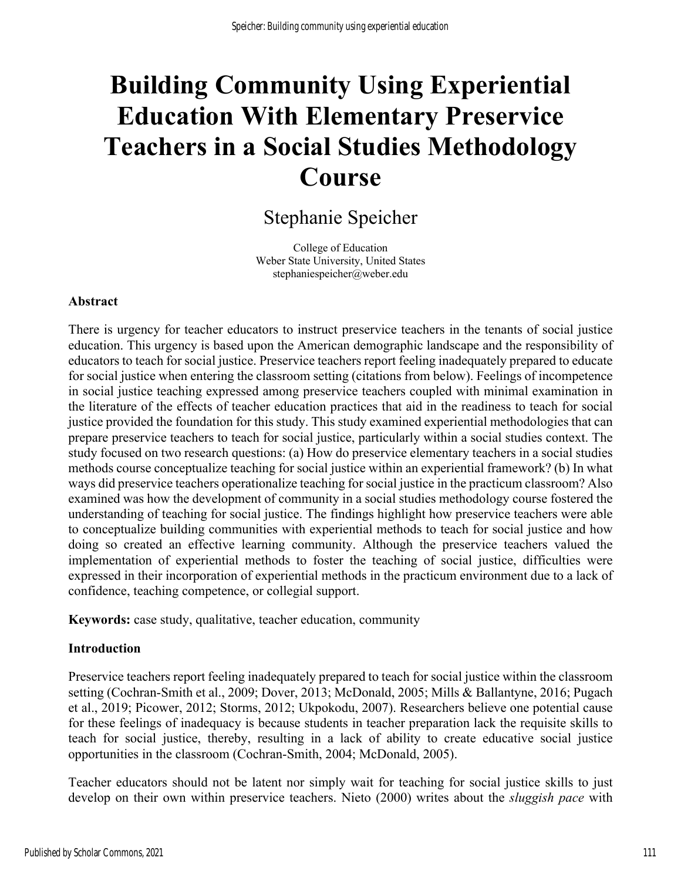# **Building Community Using Experiential Education With Elementary Preservice Teachers in a Social Studies Methodology Course**

# Stephanie Speicher

College of Education Weber State University, United States stephaniespeicher@weber.edu

#### **Abstract**

There is urgency for teacher educators to instruct preservice teachers in the tenants of social justice education. This urgency is based upon the American demographic landscape and the responsibility of educators to teach for social justice. Preservice teachers report feeling inadequately prepared to educate for social justice when entering the classroom setting (citations from below). Feelings of incompetence in social justice teaching expressed among preservice teachers coupled with minimal examination in the literature of the effects of teacher education practices that aid in the readiness to teach for social justice provided the foundation for this study. This study examined experiential methodologies that can prepare preservice teachers to teach for social justice, particularly within a social studies context. The study focused on two research questions: (a) How do preservice elementary teachers in a social studies methods course conceptualize teaching for social justice within an experiential framework? (b) In what ways did preservice teachers operationalize teaching for social justice in the practicum classroom? Also examined was how the development of community in a social studies methodology course fostered the understanding of teaching for social justice. The findings highlight how preservice teachers were able to conceptualize building communities with experiential methods to teach for social justice and how doing so created an effective learning community. Although the preservice teachers valued the implementation of experiential methods to foster the teaching of social justice, difficulties were expressed in their incorporation of experiential methods in the practicum environment due to a lack of confidence, teaching competence, or collegial support.

**Keywords:** case study, qualitative, teacher education, community

#### **Introduction**

Preservice teachers report feeling inadequately prepared to teach for social justice within the classroom setting (Cochran-Smith et al., 2009; Dover, 2013; McDonald, 2005; Mills & Ballantyne, 2016; Pugach et al., 2019; Picower, 2012; Storms, 2012; Ukpokodu, 2007). Researchers believe one potential cause for these feelings of inadequacy is because students in teacher preparation lack the requisite skills to teach for social justice, thereby, resulting in a lack of ability to create educative social justice opportunities in the classroom (Cochran-Smith, 2004; McDonald, 2005).

Teacher educators should not be latent nor simply wait for teaching for social justice skills to just develop on their own within preservice teachers. Nieto (2000) writes about the *sluggish pace* with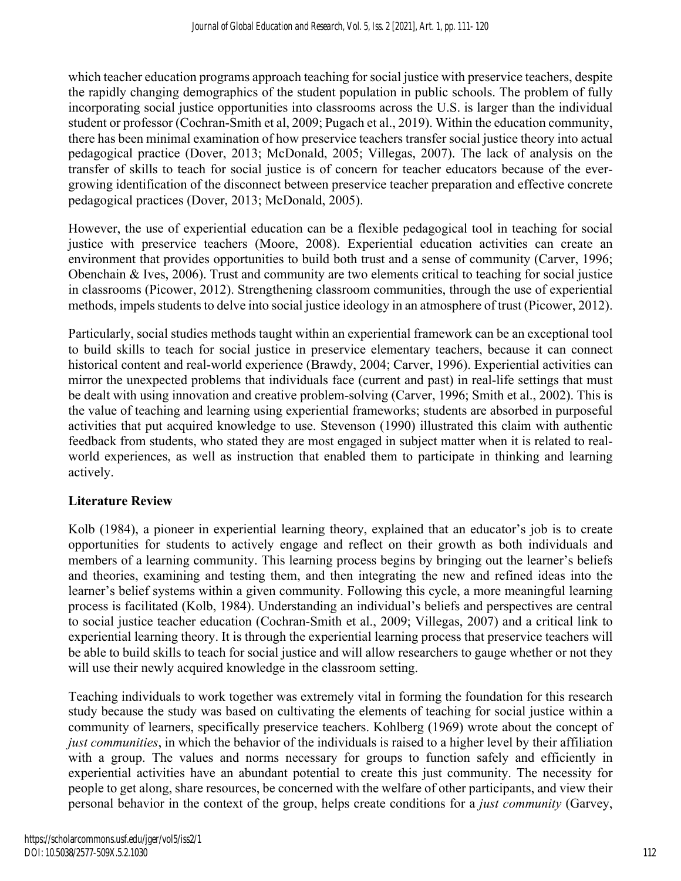which teacher education programs approach teaching for social justice with preservice teachers, despite the rapidly changing demographics of the student population in public schools. The problem of fully incorporating social justice opportunities into classrooms across the U.S. is larger than the individual student or professor (Cochran-Smith et al, 2009; Pugach et al., 2019). Within the education community, there has been minimal examination of how preservice teachers transfer social justice theory into actual pedagogical practice (Dover, 2013; McDonald, 2005; Villegas, 2007). The lack of analysis on the transfer of skills to teach for social justice is of concern for teacher educators because of the evergrowing identification of the disconnect between preservice teacher preparation and effective concrete pedagogical practices (Dover, 2013; McDonald, 2005).

However, the use of experiential education can be a flexible pedagogical tool in teaching for social justice with preservice teachers (Moore, 2008). Experiential education activities can create an environment that provides opportunities to build both trust and a sense of community (Carver, 1996; Obenchain & Ives, 2006). Trust and community are two elements critical to teaching for social justice in classrooms (Picower, 2012). Strengthening classroom communities, through the use of experiential methods, impels students to delve into social justice ideology in an atmosphere of trust (Picower, 2012).

Particularly, social studies methods taught within an experiential framework can be an exceptional tool to build skills to teach for social justice in preservice elementary teachers, because it can connect historical content and real-world experience (Brawdy, 2004; Carver, 1996). Experiential activities can mirror the unexpected problems that individuals face (current and past) in real-life settings that must be dealt with using innovation and creative problem-solving (Carver, 1996; Smith et al., 2002). This is the value of teaching and learning using experiential frameworks; students are absorbed in purposeful activities that put acquired knowledge to use. Stevenson (1990) illustrated this claim with authentic feedback from students, who stated they are most engaged in subject matter when it is related to realworld experiences, as well as instruction that enabled them to participate in thinking and learning actively.

## **Literature Review**

Kolb (1984), a pioneer in experiential learning theory, explained that an educator's job is to create opportunities for students to actively engage and reflect on their growth as both individuals and members of a learning community. This learning process begins by bringing out the learner's beliefs and theories, examining and testing them, and then integrating the new and refined ideas into the learner's belief systems within a given community. Following this cycle, a more meaningful learning process is facilitated (Kolb, 1984). Understanding an individual's beliefs and perspectives are central to social justice teacher education (Cochran-Smith et al., 2009; Villegas, 2007) and a critical link to experiential learning theory. It is through the experiential learning process that preservice teachers will be able to build skills to teach for social justice and will allow researchers to gauge whether or not they will use their newly acquired knowledge in the classroom setting.

Teaching individuals to work together was extremely vital in forming the foundation for this research study because the study was based on cultivating the elements of teaching for social justice within a community of learners, specifically preservice teachers. Kohlberg (1969) wrote about the concept of *just communities*, in which the behavior of the individuals is raised to a higher level by their affiliation with a group. The values and norms necessary for groups to function safely and efficiently in experiential activities have an abundant potential to create this just community. The necessity for people to get along, share resources, be concerned with the welfare of other participants, and view their personal behavior in the context of the group, helps create conditions for a *just community* (Garvey,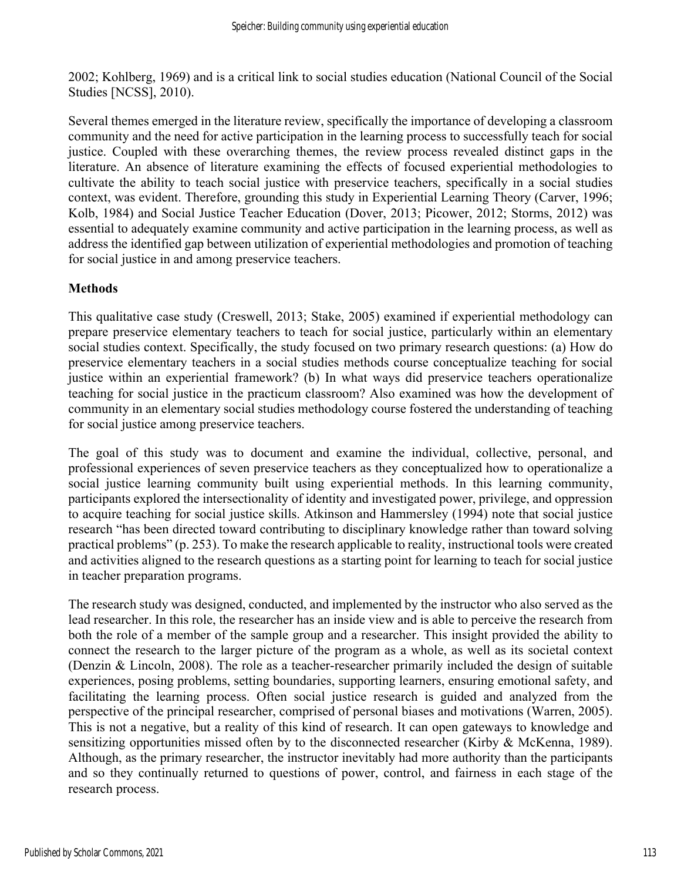2002; Kohlberg, 1969) and is a critical link to social studies education (National Council of the Social Studies [NCSS], 2010).

Several themes emerged in the literature review, specifically the importance of developing a classroom community and the need for active participation in the learning process to successfully teach for social justice. Coupled with these overarching themes, the review process revealed distinct gaps in the literature. An absence of literature examining the effects of focused experiential methodologies to cultivate the ability to teach social justice with preservice teachers, specifically in a social studies context, was evident. Therefore, grounding this study in Experiential Learning Theory (Carver, 1996; Kolb, 1984) and Social Justice Teacher Education (Dover, 2013; Picower, 2012; Storms, 2012) was essential to adequately examine community and active participation in the learning process, as well as address the identified gap between utilization of experiential methodologies and promotion of teaching for social justice in and among preservice teachers.

#### **Methods**

This qualitative case study (Creswell, 2013; Stake, 2005) examined if experiential methodology can prepare preservice elementary teachers to teach for social justice, particularly within an elementary social studies context. Specifically, the study focused on two primary research questions: (a) How do preservice elementary teachers in a social studies methods course conceptualize teaching for social justice within an experiential framework? (b) In what ways did preservice teachers operationalize teaching for social justice in the practicum classroom? Also examined was how the development of community in an elementary social studies methodology course fostered the understanding of teaching for social justice among preservice teachers.

The goal of this study was to document and examine the individual, collective, personal, and professional experiences of seven preservice teachers as they conceptualized how to operationalize a social justice learning community built using experiential methods. In this learning community, participants explored the intersectionality of identity and investigated power, privilege, and oppression to acquire teaching for social justice skills. Atkinson and Hammersley (1994) note that social justice research "has been directed toward contributing to disciplinary knowledge rather than toward solving practical problems" (p. 253). To make the research applicable to reality, instructional tools were created and activities aligned to the research questions as a starting point for learning to teach for social justice in teacher preparation programs.

The research study was designed, conducted, and implemented by the instructor who also served as the lead researcher. In this role, the researcher has an inside view and is able to perceive the research from both the role of a member of the sample group and a researcher. This insight provided the ability to connect the research to the larger picture of the program as a whole, as well as its societal context (Denzin & Lincoln, 2008). The role as a teacher-researcher primarily included the design of suitable experiences, posing problems, setting boundaries, supporting learners, ensuring emotional safety, and facilitating the learning process. Often social justice research is guided and analyzed from the perspective of the principal researcher, comprised of personal biases and motivations (Warren, 2005). This is not a negative, but a reality of this kind of research. It can open gateways to knowledge and sensitizing opportunities missed often by to the disconnected researcher (Kirby & McKenna, 1989). Although, as the primary researcher, the instructor inevitably had more authority than the participants and so they continually returned to questions of power, control, and fairness in each stage of the research process.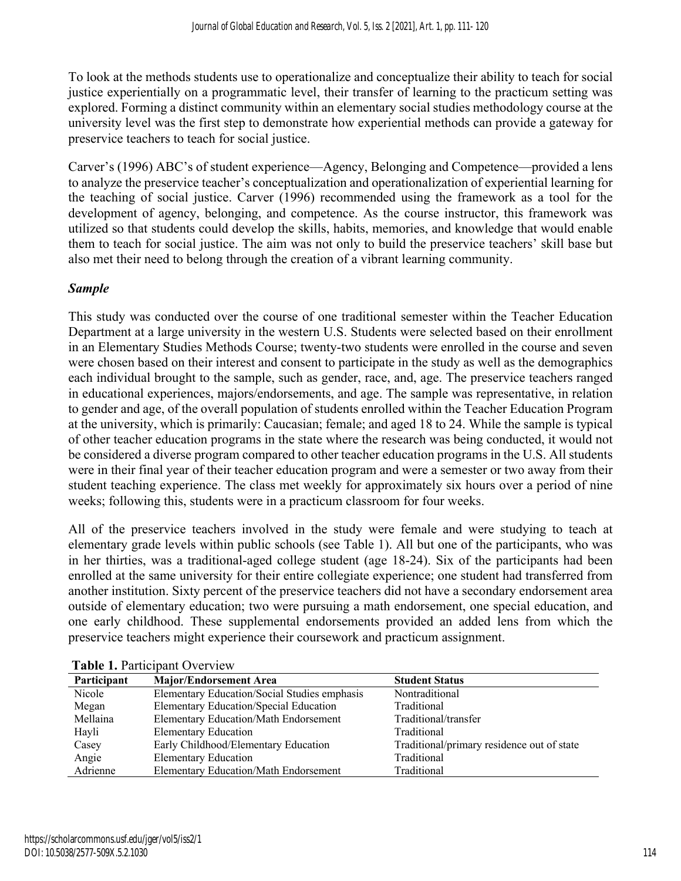To look at the methods students use to operationalize and conceptualize their ability to teach for social justice experientially on a programmatic level, their transfer of learning to the practicum setting was explored. Forming a distinct community within an elementary social studies methodology course at the university level was the first step to demonstrate how experiential methods can provide a gateway for preservice teachers to teach for social justice.

Carver's (1996) ABC's of student experience—Agency, Belonging and Competence—provided a lens to analyze the preservice teacher's conceptualization and operationalization of experiential learning for the teaching of social justice. Carver (1996) recommended using the framework as a tool for the development of agency, belonging, and competence. As the course instructor, this framework was utilized so that students could develop the skills, habits, memories, and knowledge that would enable them to teach for social justice. The aim was not only to build the preservice teachers' skill base but also met their need to belong through the creation of a vibrant learning community.

#### *Sample*

This study was conducted over the course of one traditional semester within the Teacher Education Department at a large university in the western U.S. Students were selected based on their enrollment in an Elementary Studies Methods Course; twenty-two students were enrolled in the course and seven were chosen based on their interest and consent to participate in the study as well as the demographics each individual brought to the sample, such as gender, race, and, age. The preservice teachers ranged in educational experiences, majors/endorsements, and age. The sample was representative, in relation to gender and age, of the overall population of students enrolled within the Teacher Education Program at the university, which is primarily: Caucasian; female; and aged 18 to 24. While the sample is typical of other teacher education programs in the state where the research was being conducted, it would not be considered a diverse program compared to other teacher education programs in the U.S. All students were in their final year of their teacher education program and were a semester or two away from their student teaching experience. The class met weekly for approximately six hours over a period of nine weeks; following this, students were in a practicum classroom for four weeks.

All of the preservice teachers involved in the study were female and were studying to teach at elementary grade levels within public schools (see Table 1). All but one of the participants, who was in her thirties, was a traditional-aged college student (age 18-24). Six of the participants had been enrolled at the same university for their entire collegiate experience; one student had transferred from another institution. Sixty percent of the preservice teachers did not have a secondary endorsement area outside of elementary education; two were pursuing a math endorsement, one special education, and one early childhood. These supplemental endorsements provided an added lens from which the preservice teachers might experience their coursework and practicum assignment.

| Participant | <b>Major/Endorsement Area</b>                | <b>Student Status</b>                      |
|-------------|----------------------------------------------|--------------------------------------------|
| Nicole      | Elementary Education/Social Studies emphasis | Nontraditional                             |
| Megan       | Elementary Education/Special Education       | Traditional                                |
| Mellaina    | <b>Elementary Education/Math Endorsement</b> | Traditional/transfer                       |
| Hayli       | <b>Elementary Education</b>                  | Traditional                                |
| Casey       | Early Childhood/Elementary Education         | Traditional/primary residence out of state |
| Angie       | <b>Elementary Education</b>                  | Traditional                                |
| Adrienne    | <b>Elementary Education/Math Endorsement</b> | Traditional                                |

**Table 1. Participant Overview**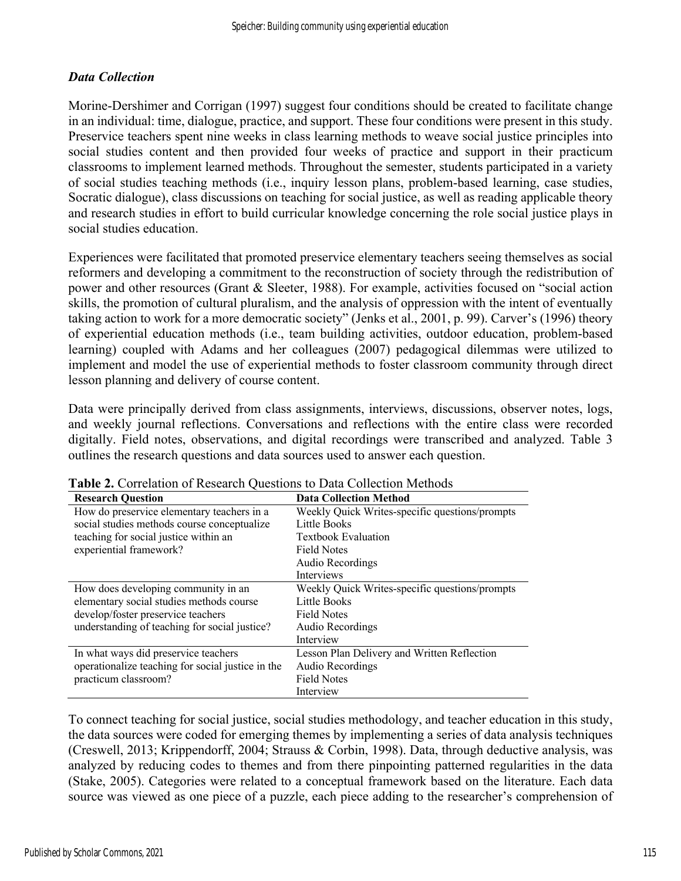### *Data Collection*

Morine-Dershimer and Corrigan (1997) suggest four conditions should be created to facilitate change in an individual: time, dialogue, practice, and support. These four conditions were present in this study. Preservice teachers spent nine weeks in class learning methods to weave social justice principles into social studies content and then provided four weeks of practice and support in their practicum classrooms to implement learned methods. Throughout the semester, students participated in a variety of social studies teaching methods (i.e., inquiry lesson plans, problem-based learning, case studies, Socratic dialogue), class discussions on teaching for social justice, as well as reading applicable theory and research studies in effort to build curricular knowledge concerning the role social justice plays in social studies education.

Experiences were facilitated that promoted preservice elementary teachers seeing themselves as social reformers and developing a commitment to the reconstruction of society through the redistribution of power and other resources (Grant & Sleeter, 1988). For example, activities focused on "social action skills, the promotion of cultural pluralism, and the analysis of oppression with the intent of eventually taking action to work for a more democratic society" (Jenks et al., 2001, p. 99). Carver's (1996) theory of experiential education methods (i.e., team building activities, outdoor education, problem-based learning) coupled with Adams and her colleagues (2007) pedagogical dilemmas were utilized to implement and model the use of experiential methods to foster classroom community through direct lesson planning and delivery of course content.

Data were principally derived from class assignments, interviews, discussions, observer notes, logs, and weekly journal reflections. Conversations and reflections with the entire class were recorded digitally. Field notes, observations, and digital recordings were transcribed and analyzed. Table 3 outlines the research questions and data sources used to answer each question.

| <b>Research Question</b>                          | <b>Data Collection Method</b>                  |
|---------------------------------------------------|------------------------------------------------|
| How do preservice elementary teachers in a        | Weekly Quick Writes-specific questions/prompts |
| social studies methods course conceptualize       | Little Books                                   |
| teaching for social justice within an             | <b>Textbook Evaluation</b>                     |
| experiential framework?                           | <b>Field Notes</b>                             |
|                                                   | Audio Recordings                               |
|                                                   | <b>Interviews</b>                              |
| How does developing community in an               | Weekly Quick Writes-specific questions/prompts |
| elementary social studies methods course          | <b>Little Books</b>                            |
| develop/foster preservice teachers                | <b>Field Notes</b>                             |
| understanding of teaching for social justice?     | Audio Recordings                               |
|                                                   | Interview                                      |
| In what ways did preservice teachers              | Lesson Plan Delivery and Written Reflection    |
| operationalize teaching for social justice in the | Audio Recordings                               |
| practicum classroom?                              | <b>Field Notes</b>                             |
|                                                   | Interview                                      |

**Table 2.** Correlation of Research Questions to Data Collection Methods

To connect teaching for social justice, social studies methodology, and teacher education in this study, the data sources were coded for emerging themes by implementing a series of data analysis techniques (Creswell, 2013; Krippendorff, 2004; Strauss & Corbin, 1998). Data, through deductive analysis, was analyzed by reducing codes to themes and from there pinpointing patterned regularities in the data (Stake, 2005). Categories were related to a conceptual framework based on the literature. Each data source was viewed as one piece of a puzzle, each piece adding to the researcher's comprehension of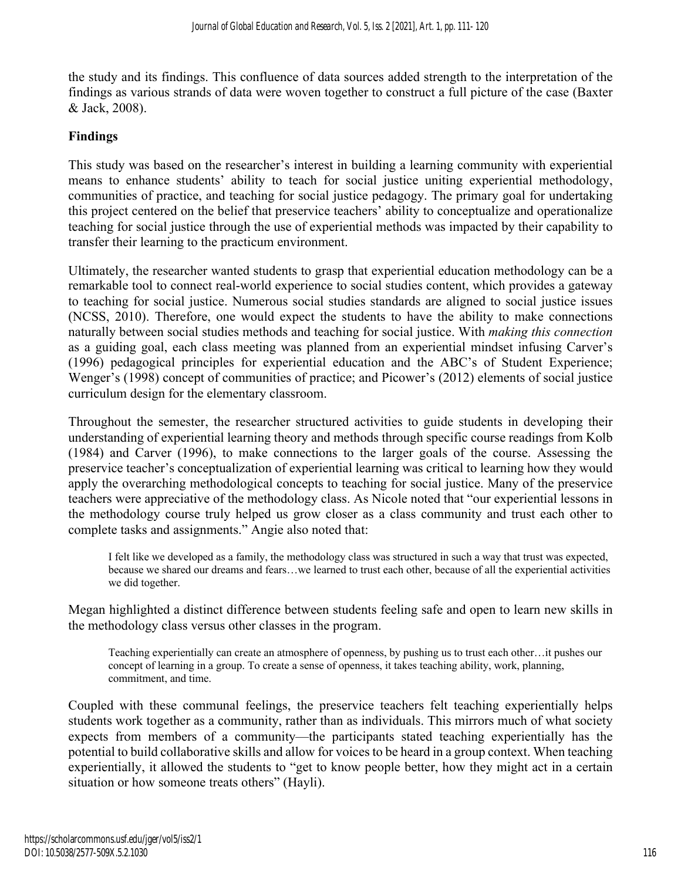the study and its findings. This confluence of data sources added strength to the interpretation of the findings as various strands of data were woven together to construct a full picture of the case (Baxter & Jack, 2008).

#### **Findings**

This study was based on the researcher's interest in building a learning community with experiential means to enhance students' ability to teach for social justice uniting experiential methodology, communities of practice, and teaching for social justice pedagogy. The primary goal for undertaking this project centered on the belief that preservice teachers' ability to conceptualize and operationalize teaching for social justice through the use of experiential methods was impacted by their capability to transfer their learning to the practicum environment.

Ultimately, the researcher wanted students to grasp that experiential education methodology can be a remarkable tool to connect real-world experience to social studies content, which provides a gateway to teaching for social justice. Numerous social studies standards are aligned to social justice issues (NCSS, 2010). Therefore, one would expect the students to have the ability to make connections naturally between social studies methods and teaching for social justice. With *making this connection* as a guiding goal, each class meeting was planned from an experiential mindset infusing Carver's (1996) pedagogical principles for experiential education and the ABC's of Student Experience; Wenger's (1998) concept of communities of practice; and Picower's (2012) elements of social justice curriculum design for the elementary classroom.

Throughout the semester, the researcher structured activities to guide students in developing their understanding of experiential learning theory and methods through specific course readings from Kolb (1984) and Carver (1996), to make connections to the larger goals of the course. Assessing the preservice teacher's conceptualization of experiential learning was critical to learning how they would apply the overarching methodological concepts to teaching for social justice. Many of the preservice teachers were appreciative of the methodology class. As Nicole noted that "our experiential lessons in the methodology course truly helped us grow closer as a class community and trust each other to complete tasks and assignments." Angie also noted that:

I felt like we developed as a family, the methodology class was structured in such a way that trust was expected, because we shared our dreams and fears…we learned to trust each other, because of all the experiential activities we did together.

Megan highlighted a distinct difference between students feeling safe and open to learn new skills in the methodology class versus other classes in the program.

Teaching experientially can create an atmosphere of openness, by pushing us to trust each other…it pushes our concept of learning in a group. To create a sense of openness, it takes teaching ability, work, planning, commitment, and time.

Coupled with these communal feelings, the preservice teachers felt teaching experientially helps students work together as a community, rather than as individuals. This mirrors much of what society expects from members of a community—the participants stated teaching experientially has the potential to build collaborative skills and allow for voices to be heard in a group context. When teaching experientially, it allowed the students to "get to know people better, how they might act in a certain situation or how someone treats others" (Hayli).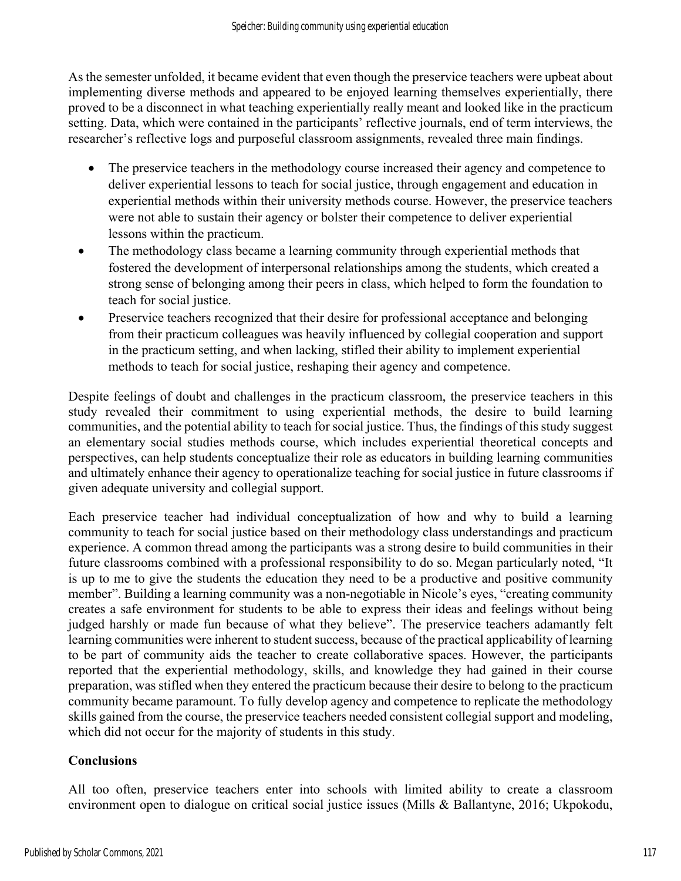As the semester unfolded, it became evident that even though the preservice teachers were upbeat about implementing diverse methods and appeared to be enjoyed learning themselves experientially, there proved to be a disconnect in what teaching experientially really meant and looked like in the practicum setting. Data, which were contained in the participants' reflective journals, end of term interviews, the researcher's reflective logs and purposeful classroom assignments, revealed three main findings.

- The preservice teachers in the methodology course increased their agency and competence to deliver experiential lessons to teach for social justice, through engagement and education in experiential methods within their university methods course. However, the preservice teachers were not able to sustain their agency or bolster their competence to deliver experiential lessons within the practicum.
- The methodology class became a learning community through experiential methods that fostered the development of interpersonal relationships among the students, which created a strong sense of belonging among their peers in class, which helped to form the foundation to teach for social justice.
- Preservice teachers recognized that their desire for professional acceptance and belonging from their practicum colleagues was heavily influenced by collegial cooperation and support in the practicum setting, and when lacking, stifled their ability to implement experiential methods to teach for social justice, reshaping their agency and competence.

Despite feelings of doubt and challenges in the practicum classroom, the preservice teachers in this study revealed their commitment to using experiential methods, the desire to build learning communities, and the potential ability to teach for social justice. Thus, the findings of this study suggest an elementary social studies methods course, which includes experiential theoretical concepts and perspectives, can help students conceptualize their role as educators in building learning communities and ultimately enhance their agency to operationalize teaching for social justice in future classrooms if given adequate university and collegial support.

Each preservice teacher had individual conceptualization of how and why to build a learning community to teach for social justice based on their methodology class understandings and practicum experience. A common thread among the participants was a strong desire to build communities in their future classrooms combined with a professional responsibility to do so. Megan particularly noted, "It is up to me to give the students the education they need to be a productive and positive community member". Building a learning community was a non-negotiable in Nicole's eyes, "creating community creates a safe environment for students to be able to express their ideas and feelings without being judged harshly or made fun because of what they believe". The preservice teachers adamantly felt learning communities were inherent to student success, because of the practical applicability of learning to be part of community aids the teacher to create collaborative spaces. However, the participants reported that the experiential methodology, skills, and knowledge they had gained in their course preparation, was stifled when they entered the practicum because their desire to belong to the practicum community became paramount. To fully develop agency and competence to replicate the methodology skills gained from the course, the preservice teachers needed consistent collegial support and modeling, which did not occur for the majority of students in this study.

## **Conclusions**

All too often, preservice teachers enter into schools with limited ability to create a classroom environment open to dialogue on critical social justice issues (Mills & Ballantyne, 2016; Ukpokodu,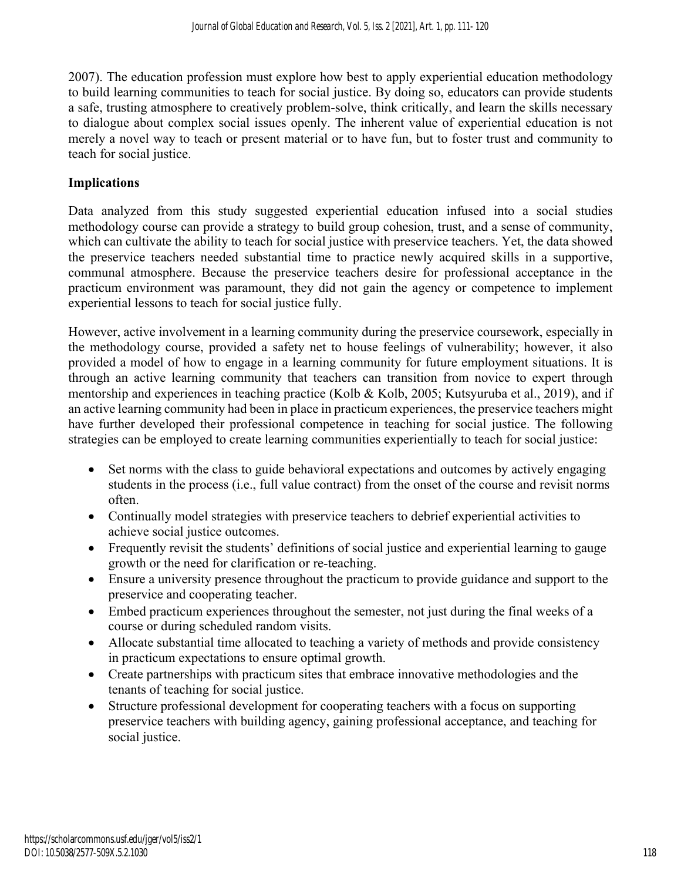2007). The education profession must explore how best to apply experiential education methodology to build learning communities to teach for social justice. By doing so, educators can provide students a safe, trusting atmosphere to creatively problem-solve, think critically, and learn the skills necessary to dialogue about complex social issues openly. The inherent value of experiential education is not merely a novel way to teach or present material or to have fun, but to foster trust and community to teach for social justice.

### **Implications**

Data analyzed from this study suggested experiential education infused into a social studies methodology course can provide a strategy to build group cohesion, trust, and a sense of community, which can cultivate the ability to teach for social justice with preservice teachers. Yet, the data showed the preservice teachers needed substantial time to practice newly acquired skills in a supportive, communal atmosphere. Because the preservice teachers desire for professional acceptance in the practicum environment was paramount, they did not gain the agency or competence to implement experiential lessons to teach for social justice fully.

However, active involvement in a learning community during the preservice coursework, especially in the methodology course, provided a safety net to house feelings of vulnerability; however, it also provided a model of how to engage in a learning community for future employment situations. It is through an active learning community that teachers can transition from novice to expert through mentorship and experiences in teaching practice (Kolb & Kolb, 2005; Kutsyuruba et al., 2019), and if an active learning community had been in place in practicum experiences, the preservice teachers might have further developed their professional competence in teaching for social justice. The following strategies can be employed to create learning communities experientially to teach for social justice:

- Set norms with the class to guide behavioral expectations and outcomes by actively engaging students in the process (i.e., full value contract) from the onset of the course and revisit norms often.
- Continually model strategies with preservice teachers to debrief experiential activities to achieve social justice outcomes.
- Frequently revisit the students' definitions of social justice and experiential learning to gauge growth or the need for clarification or re-teaching.
- Ensure a university presence throughout the practicum to provide guidance and support to the preservice and cooperating teacher.
- Embed practicum experiences throughout the semester, not just during the final weeks of a course or during scheduled random visits.
- Allocate substantial time allocated to teaching a variety of methods and provide consistency in practicum expectations to ensure optimal growth.
- Create partnerships with practicum sites that embrace innovative methodologies and the tenants of teaching for social justice.
- Structure professional development for cooperating teachers with a focus on supporting preservice teachers with building agency, gaining professional acceptance, and teaching for social justice.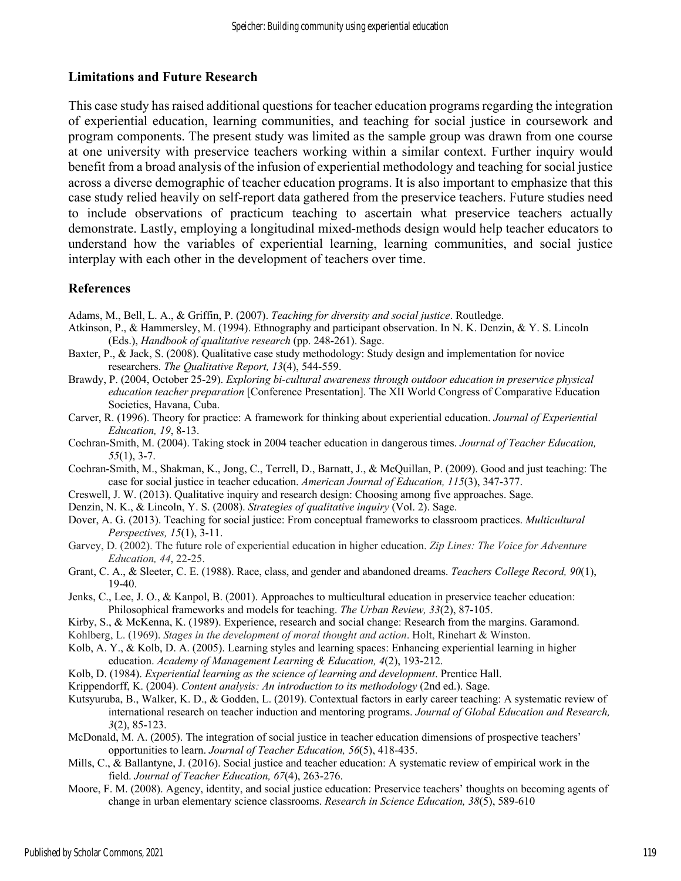#### **Limitations and Future Research**

This case study has raised additional questions for teacher education programs regarding the integration of experiential education, learning communities, and teaching for social justice in coursework and program components. The present study was limited as the sample group was drawn from one course at one university with preservice teachers working within a similar context. Further inquiry would benefit from a broad analysis of the infusion of experiential methodology and teaching for social justice across a diverse demographic of teacher education programs. It is also important to emphasize that this case study relied heavily on self-report data gathered from the preservice teachers. Future studies need to include observations of practicum teaching to ascertain what preservice teachers actually demonstrate. Lastly, employing a longitudinal mixed-methods design would help teacher educators to understand how the variables of experiential learning, learning communities, and social justice interplay with each other in the development of teachers over time.

#### **References**

- Adams, M., Bell, L. A., & Griffin, P. (2007). *Teaching for diversity and social justice*. Routledge.
- Atkinson, P., & Hammersley, M. (1994). Ethnography and participant observation. In N. K. Denzin, & Y. S. Lincoln (Eds.), *Handbook of qualitative research* (pp. 248-261). Sage.
- Baxter, P., & Jack, S. (2008). Qualitative case study methodology: Study design and implementation for novice researchers. *The Qualitative Report, 13*(4), 544-559.
- Brawdy, P. (2004, October 25-29). *Exploring bi-cultural awareness through outdoor education in preservice physical education teacher preparation* [Conference Presentation]. The XII World Congress of Comparative Education Societies, Havana, Cuba.
- Carver, R. (1996). Theory for practice: A framework for thinking about experiential education. *Journal of Experiential Education, 19*, 8-13.
- Cochran-Smith, M. (2004). Taking stock in 2004 teacher education in dangerous times. *Journal of Teacher Education, 55*(1), 3-7.
- Cochran‐Smith, M., Shakman, K., Jong, C., Terrell, D., Barnatt, J., & McQuillan, P. (2009). Good and just teaching: The case for social justice in teacher education. *American Journal of Education, 115*(3), 347-377.
- Creswell, J. W. (2013). Qualitative inquiry and research design: Choosing among five approaches. Sage.
- Denzin, N. K., & Lincoln, Y. S. (2008). *Strategies of qualitative inquiry* (Vol. 2). Sage.
- Dover, A. G. (2013). Teaching for social justice: From conceptual frameworks to classroom practices. *Multicultural Perspectives, 15*(1), 3-11.
- Garvey, D. (2002). The future role of experiential education in higher education. *Zip Lines: The Voice for Adventure Education, 44*, 22-25.
- Grant, C. A., & Sleeter, C. E. (1988). Race, class, and gender and abandoned dreams. *Teachers College Record, 90*(1), 19-40.
- Jenks, C., Lee, J. O., & Kanpol, B. (2001). Approaches to multicultural education in preservice teacher education: Philosophical frameworks and models for teaching. *The Urban Review, 33*(2), 87-105.
- Kirby, S., & McKenna, K. (1989). Experience, research and social change: Research from the margins. Garamond.
- Kohlberg, L. (1969). *Stages in the development of moral thought and action*. Holt, Rinehart & Winston.
- Kolb, A. Y., & Kolb, D. A. (2005). Learning styles and learning spaces: Enhancing experiential learning in higher education. *Academy of Management Learning & Education, 4*(2), 193-212.
- Kolb, D. (1984). *Experiential learning as the science of learning and development*. Prentice Hall.
- Krippendorff, K. (2004). *Content analysis: An introduction to its methodology* (2nd ed.). Sage.
- Kutsyuruba, B., Walker, K. D., & Godden, L. (2019). Contextual factors in early career teaching: A systematic review of international research on teacher induction and mentoring programs. *Journal of Global Education and Research, 3*(2), 85-123.
- McDonald, M. A. (2005). The integration of social justice in teacher education dimensions of prospective teachers' opportunities to learn. *Journal of Teacher Education, 56*(5), 418-435.
- Mills, C., & Ballantyne, J. (2016). Social justice and teacher education: A systematic review of empirical work in the field. *Journal of Teacher Education, 67*(4), 263-276.
- Moore, F. M. (2008). Agency, identity, and social justice education: Preservice teachers' thoughts on becoming agents of change in urban elementary science classrooms. *Research in Science Education, 38*(5), 589-610